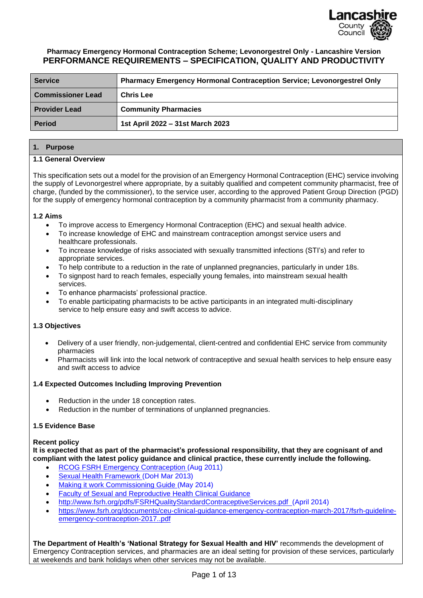

#### **Pharmacy Emergency Hormonal Contraception Scheme; Levonorgestrel Only - Lancashire Version PERFORMANCE REQUIREMENTS – SPECIFICATION, QUALITY AND PRODUCTIVITY**

| <b>Service</b>           | <b>Pharmacy Emergency Hormonal Contraception Service; Levonorgestrel Only</b> |
|--------------------------|-------------------------------------------------------------------------------|
| <b>Commissioner Lead</b> | <b>Chris Lee</b>                                                              |
| <b>Provider Lead</b>     | <b>Community Pharmacies</b>                                                   |
| <b>Period</b>            | 1st April 2022 - 31st March 2023                                              |

#### **1. Purpose**

#### **1.1 General Overview**

This specification sets out a model for the provision of an Emergency Hormonal Contraception (EHC) service involving the supply of Levonorgestrel where appropriate, by a suitably qualified and competent community pharmacist, free of charge, (funded by the commissioner), to the service user, according to the approved Patient Group Direction (PGD) for the supply of emergency hormonal contraception by a community pharmacist from a community pharmacy.

#### **1.2 Aims**

- To improve access to Emergency Hormonal Contraception (EHC) and sexual health advice.
- To increase knowledge of EHC and mainstream contraception amongst service users and healthcare professionals.
- To increase knowledge of risks associated with sexually transmitted infections (STI's) and refer to appropriate services.
- To help contribute to a reduction in the rate of unplanned pregnancies, particularly in under 18s.
- To signpost hard to reach females, especially young females, into mainstream sexual health services.
- To enhance pharmacists' professional practice.
- To enable participating pharmacists to be active participants in an integrated multi-disciplinary service to help ensure easy and swift access to advice.

#### **1.3 Objectives**

- Delivery of a user friendly, non-judgemental, client-centred and confidential EHC service from community pharmacies
- Pharmacists will link into the local network of contraceptive and sexual health services to help ensure easy and swift access to advice

#### **1.4 Expected Outcomes Including Improving Prevention**

- Reduction in the under 18 conception rates.
- Reduction in the number of terminations of unplanned pregnancies.

#### **1.5 Evidence Base**

**Recent policy**

**It is expected that as part of the pharmacist's professional responsibility, that they are cognisant of and compliant with the latest policy guidance and clinical practice, these currently include the following.**

- [RCOG FSRH Emergency Contraception \(Aug 2011](http://www.fsrh.org/pdfs/CEUguidanceEmergencyContraception11.pdf))
- [Sexual Health Framework](https://www.gov.uk/government/publications/a-framework-for-sexual-health-improvement-in-england) (DoH Mar 2013)
- [Making it work Commissioning Guide](http://www.bing.com/search?q=making+it+work+commissioning&src=IE-SearchBox&FORM=IE10SR) (May 2014)
- [Faculty of Sexual and Reproductive Health Clinical Guidance](http://www.fsrh.org/pages/clinical_guidance.asp)
- <http://www.fsrh.org/pdfs/FSRHQualityStandardContraceptiveServices.pdf>(April 2014)
- [https://www.fsrh.org/documents/ceu-clinical-guidance-emergency-contraception-march-2017/fsrh-guideline](https://www.fsrh.org/documents/ceu-clinical-guidance-emergency-contraception-march-2017/fsrh-guideline-emergency-contraception-2017..pdf)[emergency-contraception-2017..pdf](https://www.fsrh.org/documents/ceu-clinical-guidance-emergency-contraception-march-2017/fsrh-guideline-emergency-contraception-2017..pdf)

**The Department of Health's 'National Strategy for Sexual Health and HIV'** recommends the development of Emergency Contraception services, and pharmacies are an ideal setting for provision of these services, particularly at weekends and bank holidays when other services may not be available.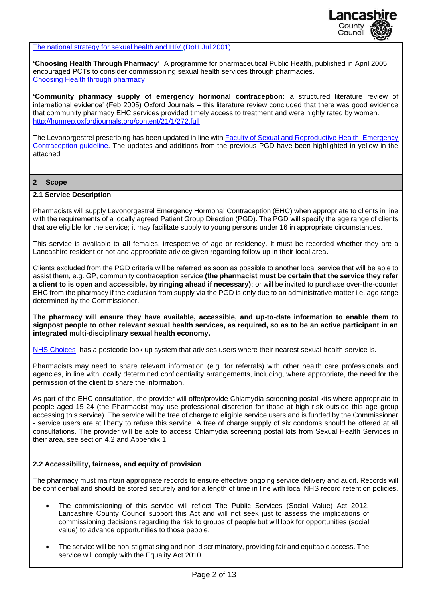

[The national strategy for sexual health and HIV](http://antibiotic-action.com/wp-content/uploads/2011/07/DH-National-strategy-for-sexual-health-and-HIV.pdf) (DoH Jul 2001)

**'Choosing Health Through Pharmacy'**; A programme for pharmaceutical Public Health, published in April 2005, encouraged PCTs to consider commissioning sexual health services through pharmacies. [Choosing Health through pharmacy](http://webarchive.nationalarchives.gov.uk/+/www.dh.gov.uk/en/Publicationsandstatistics/Publications/PublicationsPolicyAndGuidance/Browsable/DH_4107796)

**'Community pharmacy supply of emergency hormonal contraception:** a structured literature review of international evidence' (Feb 2005) Oxford Journals – this literature review concluded that there was good evidence that community pharmacy EHC services provided timely access to treatment and were highly rated by women. <http://humrep.oxfordjournals.org/content/21/1/272.full>

The Levonorgestrel prescribing has been updated in line with [Faculty of Sexual and Reproductive Health Emergency](https://www.fsrh.org/news/fsrh-launches-new-emergency-contraception-guideline/)  [Contraception guideline.](https://www.fsrh.org/news/fsrh-launches-new-emergency-contraception-guideline/) The updates and additions from the previous PGD have been highlighted in yellow in the attached

#### **2 Scope**

#### **2.1 Service Description**

Pharmacists will supply Levonorgestrel Emergency Hormonal Contraception (EHC) when appropriate to clients in line with the requirements of a locally agreed Patient Group Direction (PGD). The PGD will specify the age range of clients that are eligible for the service; it may facilitate supply to young persons under 16 in appropriate circumstances.

This service is available to **all** females, irrespective of age or residency. It must be recorded whether they are a Lancashire resident or not and appropriate advice given regarding follow up in their local area.

Clients excluded from the PGD criteria will be referred as soon as possible to another local service that will be able to assist them, e.g. GP, community contraception service **(the pharmacist must be certain that the service they refer a client to is open and accessible, by ringing ahead if necessary)**; or will be invited to purchase over-the-counter EHC from the pharmacy if the exclusion from supply via the PGD is only due to an administrative matter i.e. age range determined by the Commissioner.

**The pharmacy will ensure they have available, accessible, and up-to-date information to enable them to signpost people to other relevant sexual health services, as required, so as to be an active participant in an integrated multi-disciplinary sexual health economy.**

[NHS Choices](http://www.nhs.uk/Livewell/STIs/Pages/VisitinganSTIclinic.aspx) has a postcode look up system that advises users where their nearest sexual health service is.

Pharmacists may need to share relevant information (e.g. for referrals) with other health care professionals and agencies, in line with locally determined confidentiality arrangements, including, where appropriate, the need for the permission of the client to share the information.

As part of the EHC consultation, the provider will offer/provide Chlamydia screening postal kits where appropriate to people aged 15-24 (the Pharmacist may use professional discretion for those at high risk outside this age group accessing this service). The service will be free of charge to eligible service users and is funded by the Commissioner - service users are at liberty to refuse this service. A free of charge supply of six condoms should be offered at all consultations. The provider will be able to access Chlamydia screening postal kits from Sexual Health Services in their area, see section 4.2 and Appendix 1.

#### **2.2 Accessibility, fairness, and equity of provision**

The pharmacy must maintain appropriate records to ensure effective ongoing service delivery and audit. Records will be confidential and should be stored securely and for a length of time in line with local NHS record retention policies.

- The commissioning of this service will reflect The Public Services (Social Value) Act 2012. Lancashire County Council support this Act and will not seek just to assess the implications of commissioning decisions regarding the risk to groups of people but will look for opportunities (social value) to advance opportunities to those people.
- The service will be non-stigmatising and non-discriminatory, providing fair and equitable access. The service will comply with the Equality Act 2010.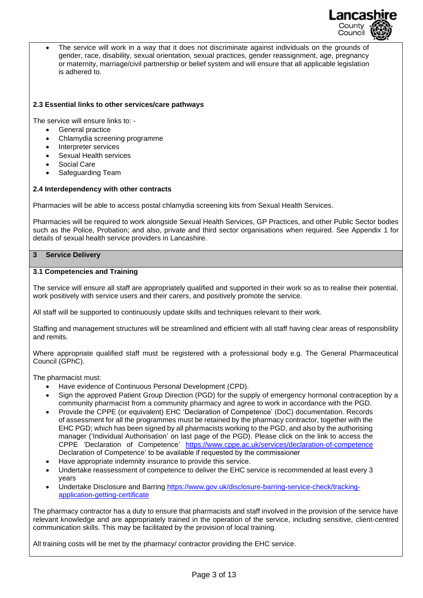

• The service will work in a way that it does not discriminate against individuals on the grounds of gender, race, disability, sexual orientation, sexual practices, gender reassignment, age, pregnancy or maternity, marriage/civil partnership or belief system and will ensure that all applicable legislation is adhered to.

#### **2.3 Essential links to other services/care pathways**

The service will ensure links to: -

- General practice
- Chlamydia screening programme
- Interpreter services
- Sexual Health services
- Social Care
- Safeguarding Team

#### **2.4 Interdependency with other contracts**

Pharmacies will be able to access postal chlamydia screening kits from Sexual Health Services.

Pharmacies will be required to work alongside Sexual Health Services, GP Practices, and other Public Sector bodies such as the Police, Probation; and also, private and third sector organisations when required. See Appendix 1 for details of sexual health service providers in Lancashire.

#### **3 Service Delivery**

#### **3.1 Competencies and Training**

The service will ensure all staff are appropriately qualified and supported in their work so as to realise their potential, work positively with service users and their carers, and positively promote the service.

All staff will be supported to continuously update skills and techniques relevant to their work.

Staffing and management structures will be streamlined and efficient with all staff having clear areas of responsibility and remits.

Where appropriate qualified staff must be registered with a professional body e.g. The General Pharmaceutical Council (GPhC).

The pharmacist must:

- Have evidence of Continuous Personal Development (CPD).
- Sign the approved Patient Group Direction (PGD) for the supply of emergency hormonal contraception by a community pharmacist from a community pharmacy and agree to work in accordance with the PGD.
- Provide the CPPE (or equivalent) EHC 'Declaration of Competence' (DoC) documentation. Records of assessment for all the programmes must be retained by the pharmacy contractor, together with the EHC PGD; which has been signed by all pharmacists working to the PGD, and also by the authorising manager ('Individual Authorisation' on last page of the PGD). Please click on the link to access the CPPE 'Declaration of Competence' <https://www.cppe.ac.uk/services/declaration-of-competence> Declaration of Competence' to be available if requested by the commissioner
- Have appropriate indemnity insurance to provide this service.
- Undertake reassessment of competence to deliver the EHC service is recommended at least every 3 years
- Undertake Disclosure and Barring [https://www.gov.uk/disclosure-barring-service-check/tracking](https://www.gov.uk/disclosure-barring-service-check/tracking-application-getting-certificate)[application-getting-certificate](https://www.gov.uk/disclosure-barring-service-check/tracking-application-getting-certificate)

The pharmacy contractor has a duty to ensure that pharmacists and staff involved in the provision of the service have relevant knowledge and are appropriately trained in the operation of the service, including sensitive, client-centred communication skills. This may be facilitated by the provision of local training.

All training costs will be met by the pharmacy/ contractor providing the EHC service.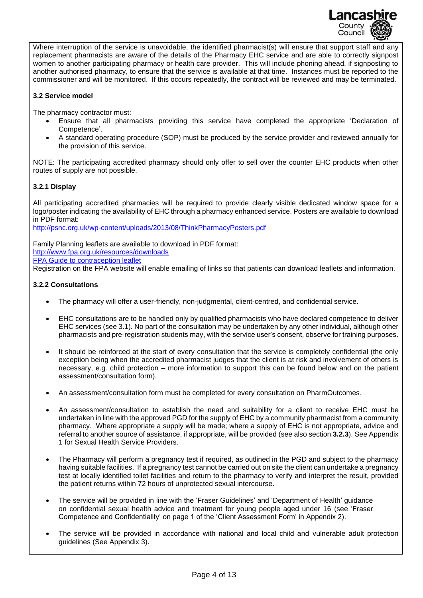

Where interruption of the service is unavoidable, the identified pharmacist(s) will ensure that support staff and any replacement pharmacists are aware of the details of the Pharmacy EHC service and are able to correctly signpost women to another participating pharmacy or health care provider. This will include phoning ahead, if signposting to another authorised pharmacy, to ensure that the service is available at that time. Instances must be reported to the commissioner and will be monitored. If this occurs repeatedly, the contract will be reviewed and may be terminated.

#### **3.2 Service model**

The pharmacy contractor must:

- Ensure that all pharmacists providing this service have completed the appropriate 'Declaration of Competence'.
- A standard operating procedure (SOP) must be produced by the service provider and reviewed annually for the provision of this service.

NOTE: The participating accredited pharmacy should only offer to sell over the counter EHC products when other routes of supply are not possible.

#### **3.2.1 Display**

All participating accredited pharmacies will be required to provide clearly visible dedicated window space for a logo/poster indicating the availability of EHC through a pharmacy enhanced service. Posters are available to download in PDF format:

<http://psnc.org.uk/wp-content/uploads/2013/08/ThinkPharmacyPosters.pdf>

Family Planning leaflets are available to download in PDF format: <http://www.fpa.org.uk/resources/downloads> [FPA Guide to contraception leaflet](http://www.fpa.org.uk/contraception-help/your-guide-contraception)

Registration on the FPA website will enable emailing of links so that patients can download leaflets and information.

#### **3.2.2 Consultations**

- The pharmacy will offer a user-friendly, non-judgmental, client-centred, and confidential service.
- EHC consultations are to be handled only by qualified pharmacists who have declared competence to deliver EHC services (see 3.1). No part of the consultation may be undertaken by any other individual, although other pharmacists and pre-registration students may, with the service user's consent, observe for training purposes.
- It should be reinforced at the start of every consultation that the service is completely confidential (the only exception being when the accredited pharmacist judges that the client is at risk and involvement of others is necessary, e.g. child protection – more information to support this can be found below and on the patient assessment/consultation form).
- An assessment/consultation form must be completed for every consultation on PharmOutcomes.
- An assessment/consultation to establish the need and suitability for a client to receive EHC must be undertaken in line with the approved PGD for the supply of EHC by a community pharmacist from a community pharmacy. Where appropriate a supply will be made; where a supply of EHC is not appropriate, advice and referral to another source of assistance, if appropriate, will be provided (see also section **3.2.3**). See Appendix 1 for Sexual Health Service Providers.
- The Pharmacy will perform a pregnancy test if required, as outlined in the PGD and subject to the pharmacy having suitable facilities. If a pregnancy test cannot be carried out on site the client can undertake a pregnancy test at locally identified toilet facilities and return to the pharmacy to verify and interpret the result, provided the patient returns within 72 hours of unprotected sexual intercourse.
- The service will be provided in line with the 'Fraser Guidelines' and 'Department of Health' guidance on confidential sexual health advice and treatment for young people aged under 16 (see 'Fraser Competence and Confidentiality' on page 1 of the 'Client Assessment Form' in Appendix 2).
- The service will be provided in accordance with national and local child and vulnerable adult protection guidelines (See Appendix 3).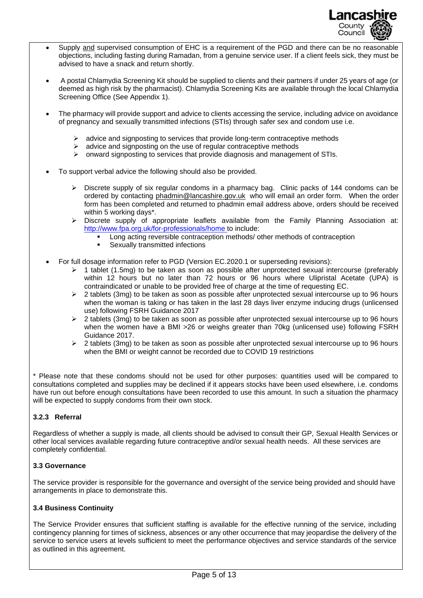

- Supply and supervised consumption of EHC is a requirement of the PGD and there can be no reasonable objections, including fasting during Ramadan, from a genuine service user. If a client feels sick, they must be advised to have a snack and return shortly.
- A postal Chlamydia Screening Kit should be supplied to clients and their partners if under 25 years of age (or deemed as high risk by the pharmacist). Chlamydia Screening Kits are available through the local Chlamydia Screening Office (See Appendix 1).
- The pharmacy will provide support and advice to clients accessing the service, including advice on avoidance of pregnancy and sexually transmitted infections (STIs) through safer sex and condom use i.e.
	- $\triangleright$  advice and signposting to services that provide long-term contraceptive methods
	- $\geq$  advice and signposting on the use of regular contraceptive methods
	- $\triangleright$  onward signposting to services that provide diagnosis and management of STIs.
- To support verbal advice the following should also be provided.
	- ➢ Discrete supply of six regular condoms in a pharmacy bag. Clinic packs of 144 condoms can be ordered by contacting [phadmin@lancashire.gov.uk](mailto:phadmin@lancashire.gov.uk) who will email an order form. When the order form has been completed and returned to phadmin email address above, orders should be received within 5 working days\*.
	- ➢ Discrete supply of appropriate leaflets available from the Family Planning Association at: <http://www.fpa.org.uk/for-professionals/home> to include:
		- Long acting reversible contraception methods/ other methods of contraception
		- **•** Sexually transmitted infections
- For full dosage information refer to PGD (Version EC.2020.1 or superseding revisions):
	- ➢ 1 tablet (1.5mg) to be taken as soon as possible after unprotected sexual intercourse (preferably within 12 hours but no later than 72 hours or 96 hours where Ulipristal Acetate (UPA) is contraindicated or unable to be provided free of charge at the time of requesting EC.
	- $\geq$  2 tablets (3mg) to be taken as soon as possible after unprotected sexual intercourse up to 96 hours when the woman is taking or has taken in the last 28 days liver enzyme inducing drugs (unlicensed use) following FSRH Guidance 2017
	- $\geq$  2 tablets (3mg) to be taken as soon as possible after unprotected sexual intercourse up to 96 hours when the women have a BMI >26 or weighs greater than 70kg (unlicensed use) following FSRH Guidance 2017.
	- ➢ 2 tablets (3mg) to be taken as soon as possible after unprotected sexual intercourse up to 96 hours when the BMI or weight cannot be recorded due to COVID 19 restrictions

\* Please note that these condoms should not be used for other purposes: quantities used will be compared to consultations completed and supplies may be declined if it appears stocks have been used elsewhere, i.e. condoms have run out before enough consultations have been recorded to use this amount. In such a situation the pharmacy will be expected to supply condoms from their own stock.

#### **3.2.3 Referral**

Regardless of whether a supply is made, all clients should be advised to consult their GP, Sexual Health Services or other local services available regarding future contraceptive and/or sexual health needs. All these services are completely confidential.

#### **3.3 Governance**

The service provider is responsible for the governance and oversight of the service being provided and should have arrangements in place to demonstrate this.

#### **3.4 Business Continuity**

The Service Provider ensures that sufficient staffing is available for the effective running of the service, including contingency planning for times of sickness, absences or any other occurrence that may jeopardise the delivery of the service to service users at levels sufficient to meet the performance objectives and service standards of the service as outlined in this agreement.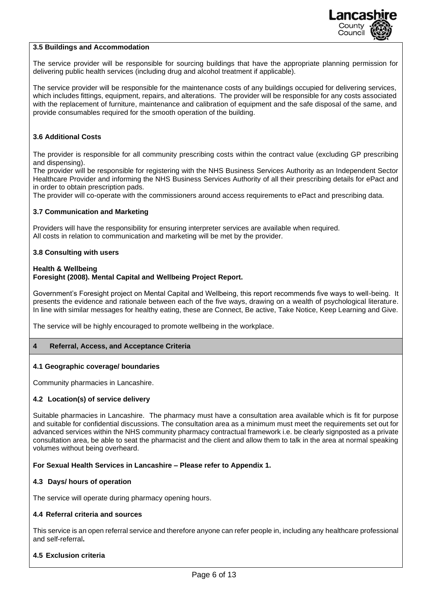

#### **3.5 Buildings and Accommodation**

The service provider will be responsible for sourcing buildings that have the appropriate planning permission for delivering public health services (including drug and alcohol treatment if applicable).

The service provider will be responsible for the maintenance costs of any buildings occupied for delivering services, which includes fittings, equipment, repairs, and alterations. The provider will be responsible for any costs associated with the replacement of furniture, maintenance and calibration of equipment and the safe disposal of the same, and provide consumables required for the smooth operation of the building.

#### **3.6 Additional Costs**

The provider is responsible for all community prescribing costs within the contract value (excluding GP prescribing and dispensing).

The provider will be responsible for registering with the NHS Business Services Authority as an Independent Sector Healthcare Provider and informing the NHS Business Services Authority of all their prescribing details for ePact and in order to obtain prescription pads.

The provider will co-operate with the commissioners around access requirements to ePact and prescribing data.

#### **3.7 Communication and Marketing**

Providers will have the responsibility for ensuring interpreter services are available when required. All costs in relation to communication and marketing will be met by the provider.

#### **3.8 Consulting with users**

#### **Health & Wellbeing**

#### **Foresight (2008). Mental Capital and Wellbeing Project Report.**

Government's Foresight project on Mental Capital and Wellbeing, this report recommends five ways to well-being. It presents the evidence and rationale between each of the five ways, drawing on a wealth of psychological literature. In line with similar messages for healthy eating, these are Connect, Be active, Take Notice, Keep Learning and Give.

The service will be highly encouraged to promote wellbeing in the workplace.

#### **4 Referral, Access, and Acceptance Criteria**

#### **4.1 Geographic coverage/ boundaries**

Community pharmacies in Lancashire.

#### **4.2 Location(s) of service delivery**

Suitable pharmacies in Lancashire. The pharmacy must have a consultation area available which is fit for purpose and suitable for confidential discussions. The consultation area as a minimum must meet the requirements set out for advanced services within the NHS community pharmacy contractual framework i.e. be clearly signposted as a private consultation area, be able to seat the pharmacist and the client and allow them to talk in the area at normal speaking volumes without being overheard.

#### **For Sexual Health Services in Lancashire – Please refer to Appendix 1.**

#### **4.3 Days/ hours of operation**

The service will operate during pharmacy opening hours.

#### **4.4 Referral criteria and sources**

This service is an open referral service and therefore anyone can refer people in, including any healthcare professional and self-referral**.**

#### **4.5 Exclusion criteria**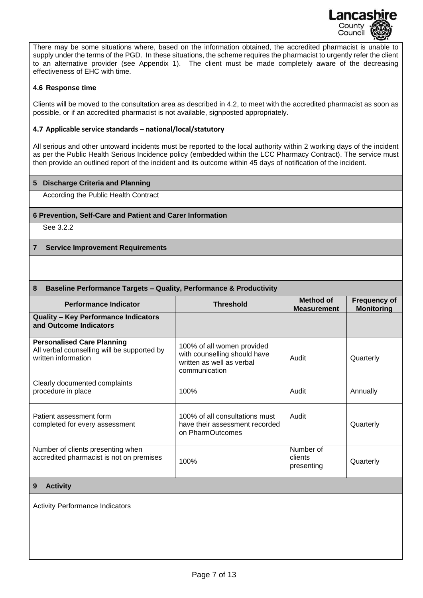

There may be some situations where, based on the information obtained, the accredited pharmacist is unable to supply under the terms of the PGD. In these situations, the scheme requires the pharmacist to urgently refer the client to an alternative provider (see Appendix 1). The client must be made completely aware of the decreasing effectiveness of EHC with time.

#### **4.6 Response time**

Clients will be moved to the consultation area as described in 4.2, to meet with the accredited pharmacist as soon as possible, or if an accredited pharmacist is not available, signposted appropriately.

#### **4.7 Applicable service standards – national/local/statutory**

All serious and other untoward incidents must be reported to the local authority within 2 working days of the incident as per the Public Health Serious Incidence policy (embedded within the LCC Pharmacy Contract). The service must then provide an outlined report of the incident and its outcome within 45 days of notification of the incident.

#### **5 Discharge Criteria and Planning**

According the Public Health Contract

#### **6 Prevention, Self-Care and Patient and Carer Information**

See 3.2.2

#### **7 Service Improvement Requirements**

#### **8 Baseline Performance Targets – Quality, Performance & Productivity**

| <b>Performance Indicator</b>                                                                            | <b>Threshold</b>                                                                                         | Method of<br><b>Measurement</b>    | <b>Frequency of</b><br><b>Monitoring</b> |
|---------------------------------------------------------------------------------------------------------|----------------------------------------------------------------------------------------------------------|------------------------------------|------------------------------------------|
| <b>Quality - Key Performance Indicators</b><br>and Outcome Indicators                                   |                                                                                                          |                                    |                                          |
| <b>Personalised Care Planning</b><br>All verbal counselling will be supported by<br>written information | 100% of all women provided<br>with counselling should have<br>written as well as verbal<br>communication | Audit                              | Quarterly                                |
| Clearly documented complaints<br>procedure in place                                                     | 100%                                                                                                     | Audit                              | Annually                                 |
| Patient assessment form<br>completed for every assessment                                               | 100% of all consultations must<br>have their assessment recorded<br>on PharmOutcomes                     | Audit                              | Quarterly                                |
| Number of clients presenting when<br>accredited pharmacist is not on premises                           | 100%                                                                                                     | Number of<br>clients<br>presenting | Quarterly                                |
| <b>Activity</b><br>9                                                                                    |                                                                                                          |                                    |                                          |
| <b>Activity Performance Indicators</b>                                                                  |                                                                                                          |                                    |                                          |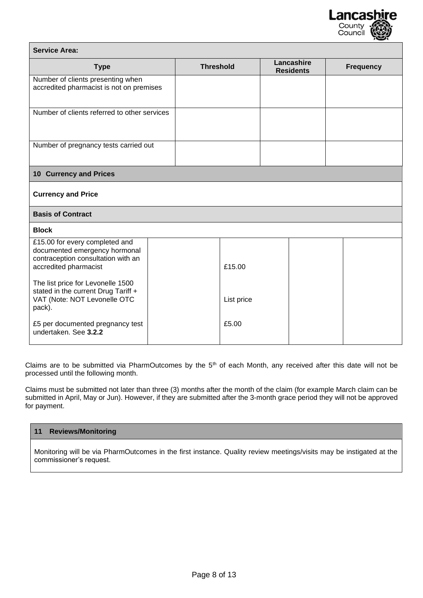

| <b>Service Area:</b>                                                                                                                                                |                  |            |                                |                  |
|---------------------------------------------------------------------------------------------------------------------------------------------------------------------|------------------|------------|--------------------------------|------------------|
| <b>Type</b>                                                                                                                                                         | <b>Threshold</b> |            | Lancashire<br><b>Residents</b> | <b>Frequency</b> |
| Number of clients presenting when<br>accredited pharmacist is not on premises                                                                                       |                  |            |                                |                  |
| Number of clients referred to other services                                                                                                                        |                  |            |                                |                  |
| Number of pregnancy tests carried out                                                                                                                               |                  |            |                                |                  |
| <b>10 Currency and Prices</b>                                                                                                                                       |                  |            |                                |                  |
| <b>Currency and Price</b>                                                                                                                                           |                  |            |                                |                  |
| <b>Basis of Contract</b>                                                                                                                                            |                  |            |                                |                  |
| <b>Block</b>                                                                                                                                                        |                  |            |                                |                  |
| £15.00 for every completed and<br>documented emergency hormonal<br>contraception consultation with an<br>accredited pharmacist<br>The list price for Levonelle 1500 |                  | £15.00     |                                |                  |
| stated in the current Drug Tariff +<br>VAT (Note: NOT Levonelle OTC<br>pack).                                                                                       |                  | List price |                                |                  |
| £5 per documented pregnancy test<br>undertaken. See 3.2.2                                                                                                           |                  | £5.00      |                                |                  |

Claims are to be submitted via PharmOutcomes by the 5<sup>th</sup> of each Month, any received after this date will not be processed until the following month.

Claims must be submitted not later than three (3) months after the month of the claim (for example March claim can be submitted in April, May or Jun). However, if they are submitted after the 3-month grace period they will not be approved for payment.

#### **11 Reviews/Monitoring**

Monitoring will be via PharmOutcomes in the first instance. Quality review meetings/visits may be instigated at the commissioner's request.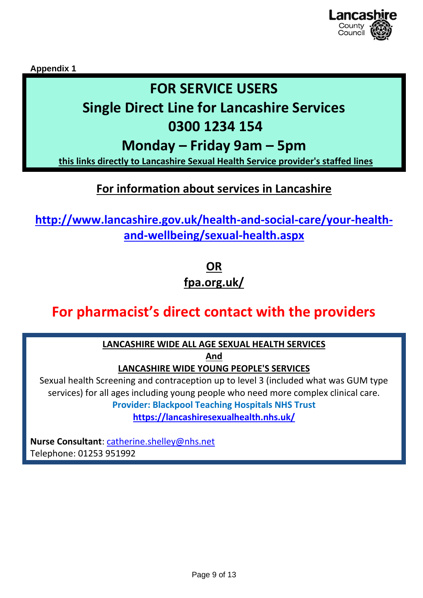

**Appendix 1**

## **FOR SERVICE USERS**

# **Single Direct Line for Lancashire Services**

## **0300 1234 154**

## **Monday – Friday 9am – 5pm**

**this links directly to Lancashire Sexual Health Service provider's staffed lines**

### **For information about services in Lancashire**

**[http://www.lancashire.gov.uk/health-and-social-care/your-health](http://www.lancashire.gov.uk/health-and-social-care/your-health-and-wellbeing/sexual-health.aspx)[and-wellbeing/sexual-health.aspx](http://www.lancashire.gov.uk/health-and-social-care/your-health-and-wellbeing/sexual-health.aspx)**

> **OR fpa.org.uk/**

## **For pharmacist's direct contact with the providers**

### **LANCASHIRE WIDE ALL AGE SEXUAL HEALTH SERVICES**

**And**

### **LANCASHIRE WIDE YOUNG PEOPLE'S SERVICES**

Sexual health Screening and contraception up to level 3 (included what was GUM type services) for all ages including young people who need more complex clinical care. **Provider: Blackpool Teaching Hospitals NHS Trust**

**<https://lancashiresexualhealth.nhs.uk/>**

**Nurse Consultant**: [catherine.shelley@nhs.net](mailto:catherine.shelley@nhs.net) Telephone: 01253 951992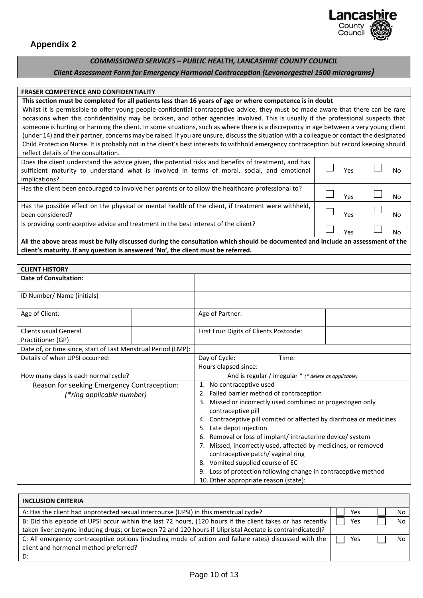

#### *COMMISSIONED SERVICES – PUBLIC HEALTH, LANCASHIRE COUNTY COUNCIL*

#### *Client Assessment Form for Emergency Hormonal Contraception (Levonorgestrel 1500 micrograms)*

#### **FRASER COMPETENCE AND CONFIDENTIALITY**

#### **This section must be completed for all patients less than 16 years of age or where competence is in doubt**

Whilst it is permissible to offer young people confidential contraceptive advice, they must be made aware that there can be rare occasions when this confidentiality may be broken, and other agencies involved. This is usually if the professional suspects that someone is hurting or harming the client. In some situations, such as where there is a discrepancy in age between a very young client (under 14) and their partner, concerns may be raised. If you are unsure, discuss the situation with a colleague or contact the designated Child Protection Nurse. It is probably not in the client's best interests to withhold emergency contraception but record keeping should reflect details of the consultation.

| Does the client understand the advice given, the potential risks and benefits of treatment, and has<br>sufficient maturity to understand what is involved in terms of moral, social, and emotional<br>implications? | Υρς | No        |
|---------------------------------------------------------------------------------------------------------------------------------------------------------------------------------------------------------------------|-----|-----------|
| Has the client been encouraged to involve her parents or to allow the healthcare professional to?                                                                                                                   | Yes | No        |
| Has the possible effect on the physical or mental health of the client, if treatment were withheld,<br>been considered?                                                                                             | Υρς | <b>No</b> |
| Is providing contraceptive advice and treatment in the best interest of the client?                                                                                                                                 | Yes | No        |
| All the above areas must be fully discussed during the consultation which should be documented and include an assessment of the                                                                                     |     |           |

**client's maturity. If any question is answered 'No', the client must be referred.**

| <b>CLIENT HISTORY</b>                                         |  |                                                                     |  |  |
|---------------------------------------------------------------|--|---------------------------------------------------------------------|--|--|
| <b>Date of Consultation:</b>                                  |  |                                                                     |  |  |
|                                                               |  |                                                                     |  |  |
| ID Number/ Name (initials)                                    |  |                                                                     |  |  |
|                                                               |  |                                                                     |  |  |
| Age of Client:                                                |  | Age of Partner:                                                     |  |  |
|                                                               |  |                                                                     |  |  |
| Clients usual General                                         |  | First Four Digits of Clients Postcode:                              |  |  |
| Practitioner (GP)                                             |  |                                                                     |  |  |
| Date of, or time since, start of Last Menstrual Period (LMP): |  |                                                                     |  |  |
| Details of when UPSI occurred:                                |  | Day of Cycle:<br>Time:                                              |  |  |
|                                                               |  | Hours elapsed since:                                                |  |  |
| How many days is each normal cycle?                           |  | And is regular / irregular * (* delete as applicable)               |  |  |
| Reason for seeking Emergency Contraception:                   |  | 1. No contraceptive used                                            |  |  |
| (*ring applicable number)                                     |  | 2. Failed barrier method of contraception                           |  |  |
|                                                               |  | 3. Missed or incorrectly used combined or progestogen only          |  |  |
|                                                               |  | contraceptive pill                                                  |  |  |
|                                                               |  | 4. Contraceptive pill vomited or affected by diarrhoea or medicines |  |  |
|                                                               |  | 5. Late depot injection                                             |  |  |
|                                                               |  | 6. Removal or loss of implant/intrauterine device/system            |  |  |
|                                                               |  | 7. Missed, incorrectly used, affected by medicines, or removed      |  |  |
|                                                               |  | contraceptive patch/vaginal ring                                    |  |  |
|                                                               |  | 8. Vomited supplied course of EC                                    |  |  |
|                                                               |  | 9. Loss of protection following change in contraceptive method      |  |  |
|                                                               |  | 10. Other appropriate reason (state):                               |  |  |

| <b>INCLUSION CRITERIA</b>                                                                                  |     |      |
|------------------------------------------------------------------------------------------------------------|-----|------|
| A: Has the client had unprotected sexual intercourse (UPSI) in this menstrual cycle?                       | Yes | No l |
| B: Did this episode of UPSI occur within the last 72 hours, (120 hours if the client takes or has recently | Yes | No l |
| taken liver enzyme inducing drugs; or between 72 and 120 hours if Ulipristal Acetate is contraindicated)?  |     |      |
| C: All emergency contraceptive options (including mode of action and failure rates) discussed with the     | Yes | No.  |
| client and hormonal method preferred?                                                                      |     |      |
| D:                                                                                                         |     |      |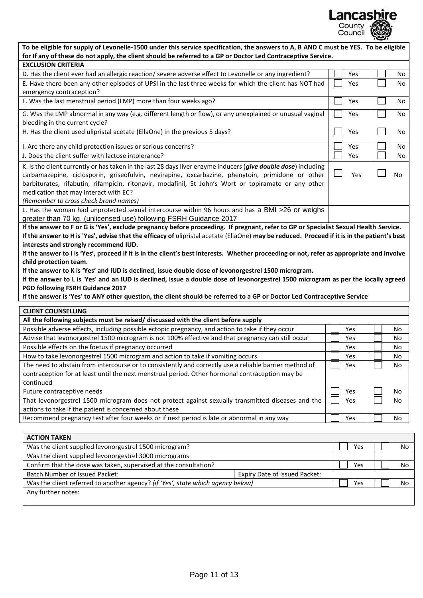

| To be eligible for supply of Levonelle-1500 under this service specification, the answers to A, B AND C must be YES. To be eligible                                                                                                                                                                                                                                                                                                                                                                                                                                                                                                                                                                                                                                                                                                                                                                               |     |           |
|-------------------------------------------------------------------------------------------------------------------------------------------------------------------------------------------------------------------------------------------------------------------------------------------------------------------------------------------------------------------------------------------------------------------------------------------------------------------------------------------------------------------------------------------------------------------------------------------------------------------------------------------------------------------------------------------------------------------------------------------------------------------------------------------------------------------------------------------------------------------------------------------------------------------|-----|-----------|
| for If any of these do not apply, the client should be referred to a GP or Doctor Led Contraceptive Service.                                                                                                                                                                                                                                                                                                                                                                                                                                                                                                                                                                                                                                                                                                                                                                                                      |     |           |
| <b>EXCLUSION CRITERIA</b>                                                                                                                                                                                                                                                                                                                                                                                                                                                                                                                                                                                                                                                                                                                                                                                                                                                                                         |     |           |
| D. Has the client ever had an allergic reaction/ severe adverse effect to Levonelle or any ingredient?                                                                                                                                                                                                                                                                                                                                                                                                                                                                                                                                                                                                                                                                                                                                                                                                            | Yes | <b>No</b> |
| E. Have there been any other episodes of UPSI in the last three weeks for which the client has NOT had<br>emergency contraception?                                                                                                                                                                                                                                                                                                                                                                                                                                                                                                                                                                                                                                                                                                                                                                                | Yes | <b>No</b> |
| F. Was the last menstrual period (LMP) more than four weeks ago?                                                                                                                                                                                                                                                                                                                                                                                                                                                                                                                                                                                                                                                                                                                                                                                                                                                  | Yes | No        |
| G. Was the LMP abnormal in any way (e.g. different length or flow), or any unexplained or unusual vaginal<br>bleeding in the current cycle?                                                                                                                                                                                                                                                                                                                                                                                                                                                                                                                                                                                                                                                                                                                                                                       | Yes | No        |
| H. Has the client used ulipristal acetate (EllaOne) in the previous 5 days?                                                                                                                                                                                                                                                                                                                                                                                                                                                                                                                                                                                                                                                                                                                                                                                                                                       | Yes | <b>No</b> |
| I. Are there any child protection issues or serious concerns?                                                                                                                                                                                                                                                                                                                                                                                                                                                                                                                                                                                                                                                                                                                                                                                                                                                     | Yes | <b>No</b> |
| J. Does the client suffer with lactose intolerance?                                                                                                                                                                                                                                                                                                                                                                                                                                                                                                                                                                                                                                                                                                                                                                                                                                                               | Yes | <b>No</b> |
| K. Is the client currently or has taken in the last 28 days liver enzyme inducers (give double dose) including<br>carbamazepine, ciclosporin, griseofulvin, nevirapine, oxcarbazine, phenytoin, primidone or other<br>barbiturates, rifabutin, rifampicin, ritonavir, modafinil, St John's Wort or topiramate or any other<br>medication that may interact with EC?<br>(Remember to cross check brand names)                                                                                                                                                                                                                                                                                                                                                                                                                                                                                                      | Yes | <b>No</b> |
| L. Has the woman had unprotected sexual intercourse within 96 hours and has a BMI >26 or weighs<br>greater than 70 kg. (unlicensed use) following FSRH Guidance 2017                                                                                                                                                                                                                                                                                                                                                                                                                                                                                                                                                                                                                                                                                                                                              |     |           |
| If the answer to F or G is 'Yes', exclude pregnancy before proceeding. If pregnant, refer to GP or Specialist Sexual Health Service.<br>If the answer to H is 'Yes', advise that the efficacy of ulipristal acetate (EllaOne) may be reduced. Proceed if it is in the patient's best<br>interests and strongly recommend IUD.<br>If the answer to I is 'Yes', proceed if it is in the client's best interests. Whether proceeding or not, refer as appropriate and involve<br>child protection team.<br>If the answer to K is 'Yes' and IUD is declined, issue double dose of levonorgestrel 1500 microgram.<br>If the answer to L is 'Yes' and an IUD is declined, issue a double dose of levonorgestrel 1500 microgram as per the locally agreed<br>PGD following FSRH Guidance 2017<br>If the answer is 'Yes' to ANY other question, the client should be referred to a GP or Doctor Led Contraceptive Service |     |           |
| <b>CLIENT COUNSELLING</b>                                                                                                                                                                                                                                                                                                                                                                                                                                                                                                                                                                                                                                                                                                                                                                                                                                                                                         |     |           |

| CLILIVI COONSLLLING                                                                                    |      |     |
|--------------------------------------------------------------------------------------------------------|------|-----|
| All the following subjects must be raised/ discussed with the client before supply                     |      |     |
| Possible adverse effects, including possible ectopic pregnancy, and action to take if they occur       | Yes  | No  |
| Advise that levonorgestrel 1500 microgram is not 100% effective and that pregnancy can still occur     | Yes. | No  |
| Possible effects on the foetus if pregnancy occurred                                                   | Yes  | No  |
| How to take levonorgestrel 1500 microgram and action to take if vomiting occurs                        | Yes  | No  |
| The need to abstain from intercourse or to consistently and correctly use a reliable barrier method of | Yes  | No. |
| contraception for at least until the next menstrual period. Other hormonal contraception may be        |      |     |
| continued                                                                                              |      |     |
| Future contraceptive needs                                                                             | Yes  | No. |
| That levonorgestrel 1500 microgram does not protect against sexually transmitted diseases and the      | Yes  | No  |
| actions to take if the patient is concerned about these                                                |      |     |
| Recommend pregnancy test after four weeks or if next period is late or abnormal in any way             | Yes  | No  |
|                                                                                                        |      |     |

| <b>ACTION TAKEN</b>                                                             |  |     |    |
|---------------------------------------------------------------------------------|--|-----|----|
| Was the client supplied levonorgestrel 1500 microgram?                          |  |     | No |
| Was the client supplied levonorgestrel 3000 micrograms                          |  |     |    |
| Confirm that the dose was taken, supervised at the consultation?                |  | Yes | No |
| Batch Number of Issued Packet:<br>Expiry Date of Issued Packet:                 |  |     |    |
| Was the client referred to another agency? (if 'Yes', state which agency below) |  |     | No |
| Any further notes:                                                              |  |     |    |
|                                                                                 |  |     |    |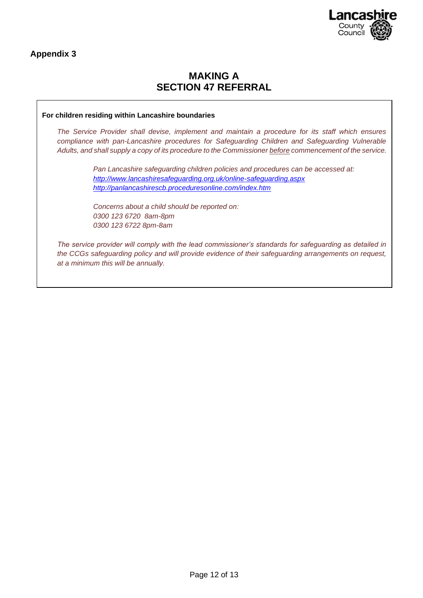

**Appendix 3**

### **MAKING A SECTION 47 REFERRAL**

#### **For children residing within Lancashire boundaries**

*The Service Provider shall devise, implement and maintain a procedure for its staff which ensures compliance with pan-Lancashire procedures for Safeguarding Children and Safeguarding Vulnerable Adults, and shall supply a copy of its procedure to the Commissioner before commencement of the service.* 

> *Pan Lancashire safeguarding children policies and procedures can be accessed at: <http://www.lancashiresafeguarding.org.uk/online-safeguarding.aspx> <http://panlancashirescb.proceduresonline.com/index.htm>*

*Concerns about a child should be reported on: 0300 123 6720 8am-8pm 0300 123 6722 8pm-8am*

*The service provider will comply with the lead commissioner's standards for safeguarding as detailed in the CCGs safeguarding policy and will provide evidence of their safeguarding arrangements on request, at a minimum this will be annually.*